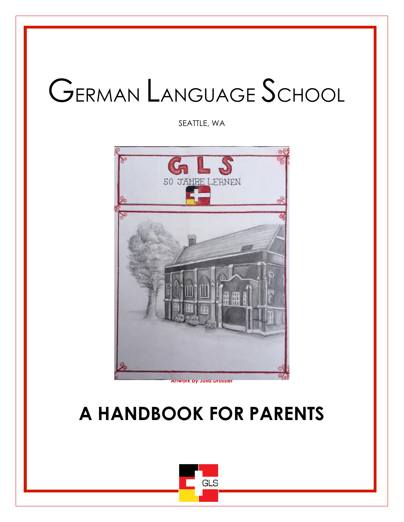# GERMAN LANGUAGE SCHOOL

SEATTLE, WA



**Artwork by Julia Drossler**

# **A HANDBOOK FOR PARENTS**

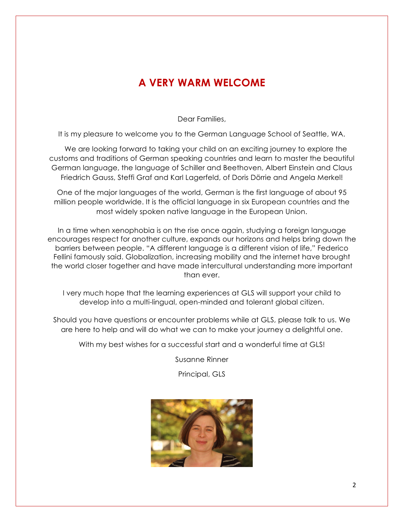#### **A VERY WARM WELCOME**

Dear Families,

It is my pleasure to welcome you to the German Language School of Seattle, WA.

 We are looking forward to taking your child on an exciting journey to explore the customs and traditions of German speaking countries and learn to master the beautiful German language, the language of Schiller and Beethoven, Albert Einstein and Claus Friedrich Gauss, Steffi Graf and Karl Lagerfeld, of Doris Dörrie and Angela Merkel!

One of the major languages of the world, German is the first language of about 95 million people worldwide. It is the official language in six European countries and the most widely spoken native language in the European Union.

In a time when xenophobia is on the rise once again, studying a foreign language encourages respect for another culture, expands our horizons and helps bring down the barriers between people. "A different language is a different vision of life," Federico Fellini famously said. Globalization, increasing mobility and the internet have brought the world closer together and have made intercultural understanding more important than ever.

I very much hope that the learning experiences at GLS will support your child to develop into a multi-lingual, open-minded and tolerant global citizen.

Should you have questions or encounter problems while at GLS, please talk to us. We are here to help and will do what we can to make your journey a delightful one.

With my best wishes for a successful start and a wonderful time at GLS!

Susanne Rinner

Principal, GLS

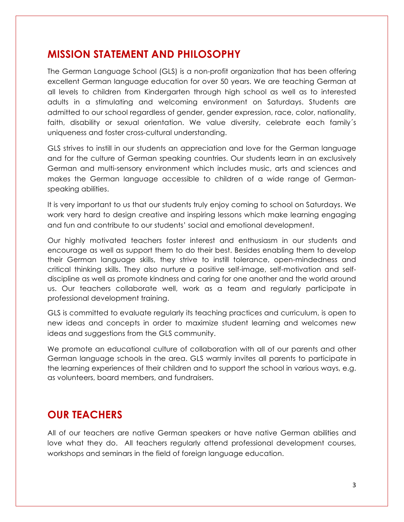#### **MISSION STATEMENT AND PHILOSOPHY**

The German Language School (GLS) is a non-profit organization that has been offering excellent German language education for over 50 years. We are teaching German at all levels to children from Kindergarten through high school as well as to interested adults in a stimulating and welcoming environment on Saturdays. Students are admitted to our school regardless of gender, gender expression, race, color, nationality, faith, disability or sexual orientation. We value diversity, celebrate each family´s uniqueness and foster cross-cultural understanding.

GLS strives to instill in our students an appreciation and love for the German language and for the culture of German speaking countries. Our students learn in an exclusively German and multi-sensory environment which includes music, arts and sciences and makes the German language accessible to children of a wide range of Germanspeaking abilities.

It is very important to us that our students truly enjoy coming to school on Saturdays. We work very hard to design creative and inspiring lessons which make learning engaging and fun and contribute to our students' social and emotional development.

Our highly motivated teachers foster interest and enthusiasm in our students and encourage as well as support them to do their best. Besides enabling them to develop their German language skills, they strive to instill tolerance, open-mindedness and critical thinking skills. They also nurture a positive self-image, self-motivation and selfdiscipline as well as promote kindness and caring for one another and the world around us. Our teachers collaborate well, work as a team and regularly participate in professional development training.

GLS is committed to evaluate regularly its teaching practices and curriculum, is open to new ideas and concepts in order to maximize student learning and welcomes new ideas and suggestions from the GLS community.

We promote an educational culture of collaboration with all of our parents and other German language schools in the area. GLS warmly invites all parents to participate in the learning experiences of their children and to support the school in various ways, e.g. as volunteers, board members, and fundraisers.

#### **OUR TEACHERS**

All of our teachers are native German speakers or have native German abilities and love what they do. All teachers regularly attend professional development courses, workshops and seminars in the field of foreign language education.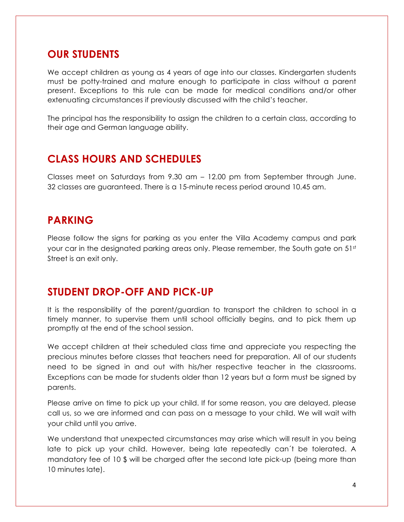#### **OUR STUDENTS**

We accept children as young as 4 years of age into our classes. Kindergarten students must be potty-trained and mature enough to participate in class without a parent present. Exceptions to this rule can be made for medical conditions and/or other extenuating circumstances if previously discussed with the child's teacher.

The principal has the responsibility to assign the children to a certain class, according to their age and German language ability.

#### **CLASS HOURS AND SCHEDULES**

Classes meet on Saturdays from 9.30 am – 12.00 pm from September through June. 32 classes are guaranteed. There is a 15-minute recess period around 10.45 am.

#### **PARKING**

Please follow the signs for parking as you enter the Villa Academy campus and park your car in the designated parking areas only. Please remember, the South gate on  $51<sup>st</sup>$ Street is an exit only.

#### **STUDENT DROP-OFF AND PICK-UP**

It is the responsibility of the parent/guardian to transport the children to school in a timely manner, to supervise them until school officially begins, and to pick them up promptly at the end of the school session.

We accept children at their scheduled class time and appreciate you respecting the precious minutes before classes that teachers need for preparation. All of our students need to be signed in and out with his/her respective teacher in the classrooms. Exceptions can be made for students older than 12 years but a form must be signed by parents.

Please arrive on time to pick up your child. If for some reason, you are delayed, please call us, so we are informed and can pass on a message to your child. We will wait with your child until you arrive.

We understand that unexpected circumstances may arise which will result in you being late to pick up your child. However, being late repeatedly can´t be tolerated. A mandatory fee of 10 \$ will be charged after the second late pick-up (being more than 10 minutes late).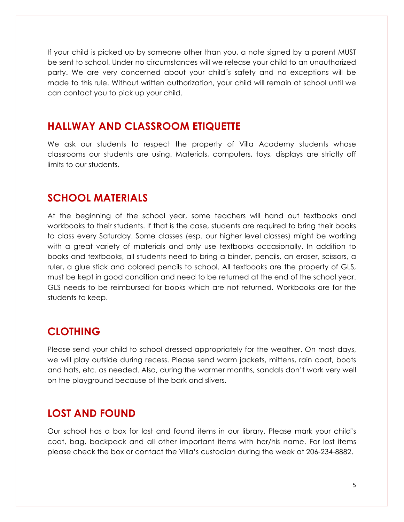If your child is picked up by someone other than you, a note signed by a parent MUST be sent to school. Under no circumstances will we release your child to an unauthorized party. We are very concerned about your child´s safety and no exceptions will be made to this rule. Without written authorization, your child will remain at school until we can contact you to pick up your child.

#### **HALLWAY AND CLASSROOM ETIQUETTE**

We ask our students to respect the property of Villa Academy students whose classrooms our students are using. Materials, computers, toys, displays are strictly off limits to our students.

#### **SCHOOL MATERIALS**

At the beginning of the school year, some teachers will hand out textbooks and workbooks to their students. If that is the case, students are required to bring their books to class every Saturday. Some classes (esp. our higher level classes) might be working with a great variety of materials and only use textbooks occasionally. In addition to books and textbooks, all students need to bring a binder, pencils, an eraser, scissors, a ruler, a glue stick and colored pencils to school. All textbooks are the property of GLS, must be kept in good condition and need to be returned at the end of the school year. GLS needs to be reimbursed for books which are not returned. Workbooks are for the students to keep.

#### **CLOTHING**

Please send your child to school dressed appropriately for the weather. On most days, we will play outside during recess. Please send warm jackets, mittens, rain coat, boots and hats, etc. as needed. Also, during the warmer months, sandals don't work very well on the playground because of the bark and slivers.

#### **LOST AND FOUND**

Our school has a box for lost and found items in our library. Please mark your child's coat, bag, backpack and all other important items with her/his name. For lost items please check the box or contact the Villa's custodian during the week at 206-234-8882.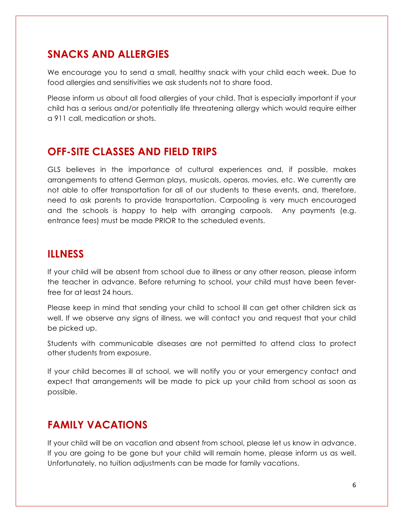#### **SNACKS AND ALLERGIES**

We encourage you to send a small, healthy snack with your child each week. Due to food allergies and sensitivities we ask students not to share food.

Please inform us about all food allergies of your child. That is especially important if your child has a serious and/or potentially life threatening allergy which would require either a 911 call, medication or shots.

#### **OFF-SITE CLASSES AND FIELD TRIPS**

GLS believes in the importance of cultural experiences and, if possible, makes arrangements to attend German plays, musicals, operas, movies, etc. We currently are not able to offer transportation for all of our students to these events, and, therefore, need to ask parents to provide transportation. Carpooling is very much encouraged and the schools is happy to help with arranging carpools. Any payments (e.g. entrance fees) must be made PRIOR to the scheduled events.

#### **ILLNESS**

If your child will be absent from school due to illness or any other reason, please inform the teacher in advance. Before returning to school, your child must have been feverfree for at least 24 hours.

Please keep in mind that sending your child to school ill can get other children sick as well. If we observe any signs of illness, we will contact you and request that your child be picked up.

Students with communicable diseases are not permitted to attend class to protect other students from exposure.

If your child becomes ill at school, we will notify you or your emergency contact and expect that arrangements will be made to pick up your child from school as soon as possible.

#### **FAMILY VACATIONS**

If your child will be on vacation and absent from school, please let us know in advance. If you are going to be gone but your child will remain home, please inform us as well. Unfortunately, no tuition adjustments can be made for family vacations.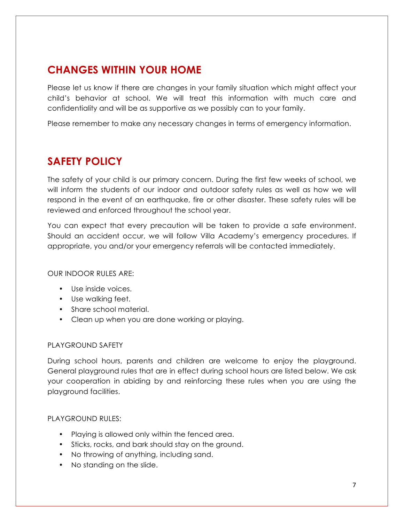# **CHANGES WITHIN YOUR HOME**

Please let us know if there are changes in your family situation which might affect your child's behavior at school. We will treat this information with much care and confidentiality and will be as supportive as we possibly can to your family.

Please remember to make any necessary changes in terms of emergency information.

#### **SAFETY POLICY**

The safety of your child is our primary concern. During the first few weeks of school, we will inform the students of our indoor and outdoor safety rules as well as how we will respond in the event of an earthquake, fire or other disaster. These safety rules will be reviewed and enforced throughout the school year.

You can expect that every precaution will be taken to provide a safe environment. Should an accident occur, we will follow Villa Academy's emergency procedures. If appropriate, you and/or your emergency referrals will be contacted immediately.

#### OUR INDOOR RULES ARE:

- Use inside voices.
- Use walking feet.
- Share school material.
- Clean up when you are done working or playing.

#### PLAYGROUND SAFETY

During school hours, parents and children are welcome to enjoy the playground. General playground rules that are in effect during school hours are listed below. We ask your cooperation in abiding by and reinforcing these rules when you are using the playground facilities.

#### PLAYGROUND RULES:

- Playing is allowed only within the fenced area.
- Sticks, rocks, and bark should stay on the ground.
- No throwing of anything, including sand.
- No standing on the slide.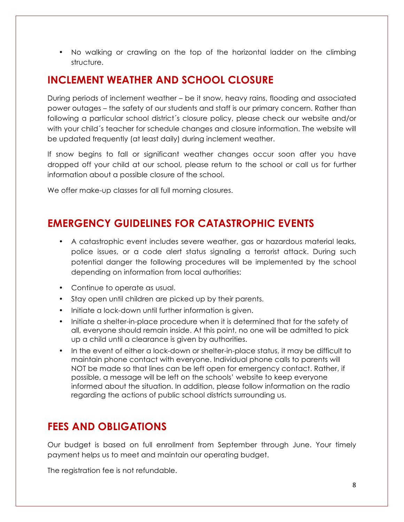• No walking or crawling on the top of the horizontal ladder on the climbing structure.

#### **INCLEMENT WEATHER AND SCHOOL CLOSURE**

During periods of inclement weather – be it snow, heavy rains, flooding and associated power outages – the safety of our students and staff is our primary concern. Rather than following a particular school district´s closure policy, please check our website and/or with your child´s teacher for schedule changes and closure information. The website will be updated frequently (at least daily) during inclement weather.

If snow begins to fall or significant weather changes occur soon after you have dropped off your child at our school, please return to the school or call us for further information about a possible closure of the school.

We offer make-up classes for all full morning closures.

### **EMERGENCY GUIDELINES FOR CATASTROPHIC EVENTS**

- A catastrophic event includes severe weather, gas or hazardous material leaks, police issues, or a code alert status signaling a terrorist attack. During such potential danger the following procedures will be implemented by the school depending on information from local authorities:
- Continue to operate as usual.
- Stay open until children are picked up by their parents.
- Initiate a lock-down until further information is given.
- Initiate a shelter-in-place procedure when it is determined that for the safety of all, everyone should remain inside. At this point, no one will be admitted to pick up a child until a clearance is given by authorities.
- In the event of either a lock-down or shelter-in-place status, it may be difficult to maintain phone contact with everyone. Individual phone calls to parents will NOT be made so that lines can be left open for emergency contact. Rather, if possible, a message will be left on the schools' website to keep everyone informed about the situation. In addition, please follow information on the radio regarding the actions of public school districts surrounding us.

# **FEES AND OBLIGATIONS**

Our budget is based on full enrollment from September through June. Your timely payment helps us to meet and maintain our operating budget.

The registration fee is not refundable.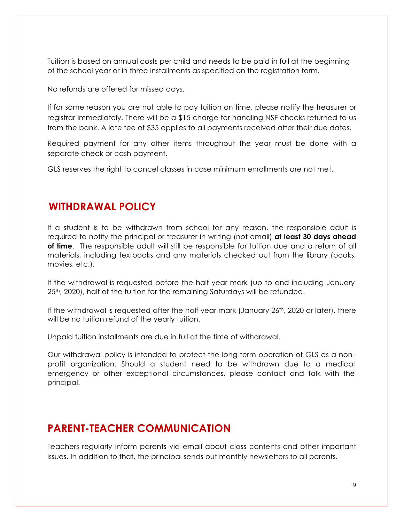Tuition is based on annual costs per child and needs to be paid in full at the beginning of the school year or in three installments as specified on the registration form.

No refunds are offered for missed days.

If for some reason you are not able to pay tuition on time, please notify the treasurer or registrar immediately. There will be a \$15 charge for handling NSF checks returned to us from the bank. A late fee of \$35 applies to all payments received after their due dates.

Required payment for any other items throughout the year must be done with a separate check or cash payment.

GLS reserves the right to cancel classes in case minimum enrollments are not met.

#### **WITHDRAWAL POLICY**

If a student is to be withdrawn from school for any reason, the responsible adult is required to notify the principal or treasurer in writing (not email) **at least 30 days ahead of time**. The responsible adult will still be responsible for tuition due and a return of all materials, including textbooks and any materials checked out from the library (books, movies, etc.).

If the withdrawal is requested before the half year mark (up to and including January 25<sup>th</sup>, 2020), half of the tuition for the remaining Saturdays will be refunded.

If the withdrawal is requested after the half year mark (January  $26<sup>th</sup>$ , 2020 or later), there will be no tuition refund of the yearly tuition.

Unpaid tuition installments are due in full at the time of withdrawal.

Our withdrawal policy is intended to protect the long-term operation of GLS as a nonprofit organization. Should a student need to be withdrawn due to a medical emergency or other exceptional circumstances, please contact and talk with the principal.

#### **PARENT-TEACHER COMMUNICATION**

Teachers regularly inform parents via email about class contents and other important issues. In addition to that, the principal sends out monthly newsletters to all parents.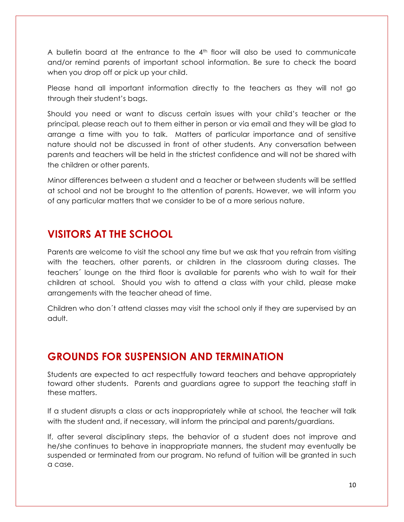A bulletin board at the entrance to the  $4<sup>th</sup>$  floor will also be used to communicate and/or remind parents of important school information. Be sure to check the board when you drop off or pick up your child.

Please hand all important information directly to the teachers as they will not go through their student's bags.

Should you need or want to discuss certain issues with your child's teacher or the principal, please reach out to them either in person or via email and they will be glad to arrange a time with you to talk. Matters of particular importance and of sensitive nature should not be discussed in front of other students. Any conversation between parents and teachers will be held in the strictest confidence and will not be shared with the children or other parents.

Minor differences between a student and a teacher or between students will be settled at school and not be brought to the attention of parents. However, we will inform you of any particular matters that we consider to be of a more serious nature.

### **VISITORS AT THE SCHOOL**

Parents are welcome to visit the school any time but we ask that you refrain from visiting with the teachers, other parents, or children in the classroom during classes. The teachers´ lounge on the third floor is available for parents who wish to wait for their children at school. Should you wish to attend a class with your child, please make arrangements with the teacher ahead of time.

Children who don´t attend classes may visit the school only if they are supervised by an adult.

#### **GROUNDS FOR SUSPENSION AND TERMINATION**

Students are expected to act respectfully toward teachers and behave appropriately toward other students. Parents and guardians agree to support the teaching staff in these matters.

If a student disrupts a class or acts inappropriately while at school, the teacher will talk with the student and, if necessary, will inform the principal and parents/guardians.

If, after several disciplinary steps, the behavior of a student does not improve and he/she continues to behave in inappropriate manners, the student may eventually be suspended or terminated from our program. No refund of tuition will be granted in such a case.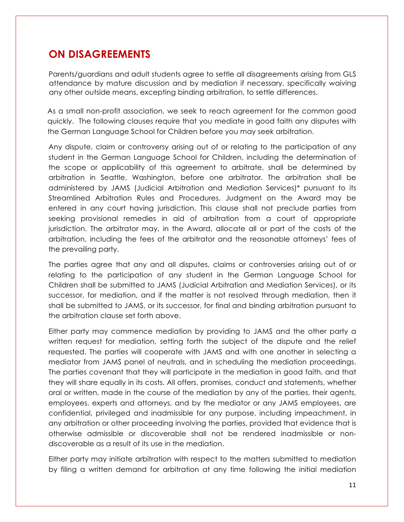#### **ON DISAGREEMENTS**

Parents/guardians and adult students agree to settle all disagreements arising from GLS attendance by mature discussion and by mediation if necessary, specifically waiving any other outside means, excepting binding arbitration, to settle differences.

As a small non-profit association, we seek to reach agreement for the common good quickly. The following clauses require that you mediate in good faith any disputes with the German Language School for Children before you may seek arbitration.

Any dispute, claim or controversy arising out of or relating to the participation of any student in the German Language School for Children, including the determination of the scope or applicability of this agreement to arbitrate, shall be determined by arbitration in Seattle, Washington, before one arbitrator. The arbitration shall be administered by JAMS (Judicial Arbitration and Mediation Services)\* pursuant to its Streamlined Arbitration Rules and Procedures. Judgment on the Award may be entered in any court having jurisdiction. This clause shall not preclude parties from seeking provisional remedies in aid of arbitration from a court of appropriate jurisdiction. The arbitrator may, in the Award, allocate all or part of the costs of the arbitration, including the fees of the arbitrator and the reasonable attorneys' fees of the prevailing party.

The parties agree that any and all disputes, claims or controversies arising out of or relating to the participation of any student in the German Language School for Children shall be submitted to JAMS (Judicial Arbitration and Mediation Services), or its successor, for mediation, and if the matter is not resolved through mediation, then it shall be submitted to JAMS, or its successor, for final and binding arbitration pursuant to the arbitration clause set forth above.

Either party may commence mediation by providing to JAMS and the other party a written request for mediation, setting forth the subject of the dispute and the relief requested. The parties will cooperate with JAMS and with one another in selecting a mediator from JAMS panel of neutrals, and in scheduling the mediation proceedings. The parties covenant that they will participate in the mediation in good faith, and that they will share equally in its costs. All offers, promises, conduct and statements, whether oral or written, made in the course of the mediation by any of the parties, their agents, employees, experts and attorneys, and by the mediator or any JAMS employees, are confidential, privileged and inadmissible for any purpose, including impeachment, in any arbitration or other proceeding involving the parties, provided that evidence that is otherwise admissible or discoverable shall not be rendered inadmissible or nondiscoverable as a result of its use in the mediation.

Either party may initiate arbitration with respect to the matters submitted to mediation by filing a written demand for arbitration at any time following the initial mediation